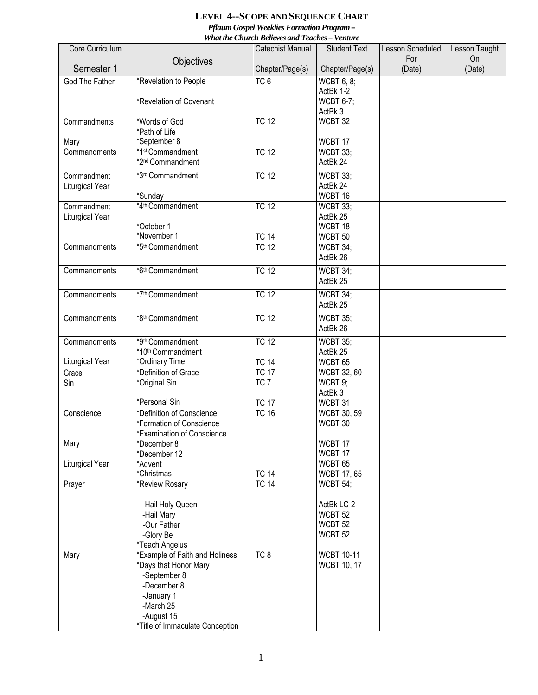## **LEVEL 4--SCOPE AND SEQUENCE CHART** *Pflaum Gospel Weeklies Formation Program –*

*What the Church Believes and Teaches – Venture* 

| Core Curriculum       |                                                        | maa inc church beheres unu Teuenes<br>Catechist Manual | <b>Student Text</b>        | Lesson Scheduled | Lesson Taught |
|-----------------------|--------------------------------------------------------|--------------------------------------------------------|----------------------------|------------------|---------------|
|                       |                                                        |                                                        |                            | For              | On            |
| Semester 1            | Objectives                                             | Chapter/Page(s)                                        | Chapter/Page(s)            | (Date)           | (Date)        |
| <b>God The Father</b> | *Revelation to People                                  | TC <sub>6</sub>                                        | <b>WCBT 6, 8;</b>          |                  |               |
|                       |                                                        |                                                        | ActBk 1-2                  |                  |               |
|                       | *Revelation of Covenant                                |                                                        | <b>WCBT 6-7;</b>           |                  |               |
|                       |                                                        |                                                        | ActBk 3                    |                  |               |
| Commandments          | *Words of God                                          | <b>TC 12</b>                                           | WCBT 32                    |                  |               |
|                       | *Path of Life                                          |                                                        |                            |                  |               |
| Mary<br>Commandments  | *September 8<br>*1st Commandment                       | <b>TC 12</b>                                           | WCBT 17<br><b>WCBT 33;</b> |                  |               |
|                       | *2 <sup>nd</sup> Commandment                           |                                                        | ActBk 24                   |                  |               |
|                       |                                                        |                                                        |                            |                  |               |
| Commandment           | *3rd Commandment                                       | <b>TC 12</b>                                           | <b>WCBT 33;</b>            |                  |               |
| Liturgical Year       | *Sunday                                                |                                                        | ActBk 24<br>WCBT 16        |                  |               |
| Commandment           | *4 <sup>th</sup> Commandment                           | <b>TC 12</b>                                           | WCBT 33;                   |                  |               |
| Liturgical Year       |                                                        |                                                        | ActBk 25                   |                  |               |
|                       | *October 1                                             |                                                        | WCBT 18                    |                  |               |
|                       | *November 1                                            | <b>TC 14</b>                                           | WCBT <sub>50</sub>         |                  |               |
| Commandments          | *5 <sup>th</sup> Commandment                           | <b>TC 12</b>                                           | WCBT 34;                   |                  |               |
|                       |                                                        |                                                        | ActBk 26                   |                  |               |
| Commandments          | *6th Commandment                                       | <b>TC 12</b>                                           | WCBT 34;                   |                  |               |
|                       |                                                        |                                                        | ActBk 25                   |                  |               |
| Commandments          | *7th Commandment                                       | <b>TC 12</b>                                           | WCBT 34;                   |                  |               |
|                       |                                                        |                                                        | ActBk 25                   |                  |               |
| Commandments          | *8th Commandment                                       | <b>TC 12</b>                                           | <b>WCBT 35;</b>            |                  |               |
|                       |                                                        |                                                        | ActBk 26                   |                  |               |
| Commandments          | *9th Commandment                                       | <b>TC 12</b>                                           | <b>WCBT 35;</b>            |                  |               |
|                       | *10th Commandment                                      |                                                        | ActBk 25                   |                  |               |
| Liturgical Year       | *Ordinary Time                                         | <b>TC 14</b>                                           | WCBT <sub>65</sub>         |                  |               |
| Grace                 | *Definition of Grace                                   | <b>TC 17</b>                                           | <b>WCBT 32, 60</b>         |                  |               |
| Sin                   | *Original Sin                                          | TC <sub>7</sub>                                        | WCBT 9;                    |                  |               |
|                       |                                                        |                                                        | ActBk 3                    |                  |               |
|                       | *Personal Sin                                          | <b>TC 17</b>                                           | WCBT 31                    |                  |               |
| Conscience            | *Definition of Conscience                              | TC <sub>16</sub>                                       | <b>WCBT 30, 59</b>         |                  |               |
|                       | *Formation of Conscience<br>*Examination of Conscience |                                                        | WCBT 30                    |                  |               |
| Mary                  | *December 8                                            |                                                        | WCBT 17                    |                  |               |
|                       | *December 12                                           |                                                        | WCBT 17                    |                  |               |
| Liturgical Year       | *Advent                                                |                                                        | WCBT <sub>65</sub>         |                  |               |
|                       | *Christmas                                             | <b>TC 14</b>                                           | <b>WCBT 17, 65</b>         |                  |               |
| Prayer                | *Review Rosary                                         | <b>TC 14</b>                                           | WCBT 54;                   |                  |               |
|                       |                                                        |                                                        |                            |                  |               |
|                       | -Hail Holy Queen                                       |                                                        | ActBk LC-2                 |                  |               |
|                       | -Hail Mary                                             |                                                        | WCBT <sub>52</sub>         |                  |               |
|                       | -Our Father                                            |                                                        | WCBT <sub>52</sub>         |                  |               |
|                       | -Glory Be<br>*Teach Angelus                            |                                                        | WCBT <sub>52</sub>         |                  |               |
| Mary                  | *Example of Faith and Holiness                         | TC 8                                                   | <b>WCBT 10-11</b>          |                  |               |
|                       | *Days that Honor Mary                                  |                                                        | <b>WCBT 10, 17</b>         |                  |               |
|                       | -September 8                                           |                                                        |                            |                  |               |
|                       | -December 8                                            |                                                        |                            |                  |               |
|                       | -January 1                                             |                                                        |                            |                  |               |
|                       | -March 25                                              |                                                        |                            |                  |               |
|                       | -August 15                                             |                                                        |                            |                  |               |
|                       | *Title of Immaculate Conception                        |                                                        |                            |                  |               |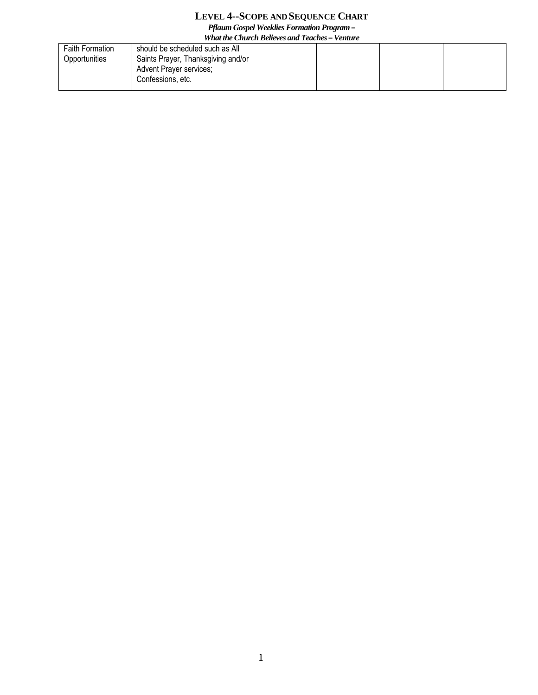## **LEVEL 4--SCOPE AND SEQUENCE CHART**

*Pflaum Gospel Weeklies Formation Program –*

| What the Church Believes and Teaches – Venture |                                                                                    |  |  |  |  |  |
|------------------------------------------------|------------------------------------------------------------------------------------|--|--|--|--|--|
| <b>Faith Formation</b>                         | should be scheduled such as All                                                    |  |  |  |  |  |
| Opportunities                                  | Saints Prayer, Thanksgiving and/or<br>Advent Prayer services;<br>Confessions, etc. |  |  |  |  |  |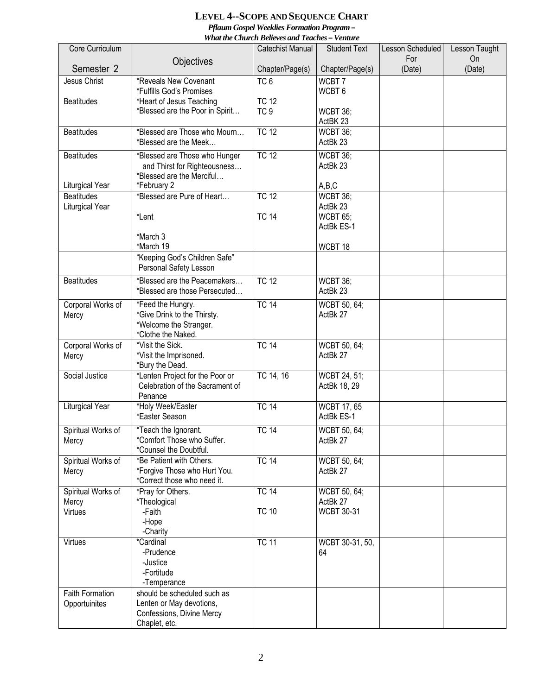## **LEVEL 4--SCOPE AND SEQUENCE CHART** *Pflaum Gospel Weeklies Formation Program –*

*What the Church Believes and Teaches – Venture* 

|                        |                                 | rrna me Church Deueres and Teaches – rename |                     |                  |               |
|------------------------|---------------------------------|---------------------------------------------|---------------------|------------------|---------------|
| Core Curriculum        |                                 | Catechist Manual                            | <b>Student Text</b> | Lesson Scheduled | Lesson Taught |
|                        | Objectives                      |                                             |                     | For              | On            |
| Semester 2             |                                 | Chapter/Page(s)                             | Chapter/Page(s)     | (Date)           | (Date)        |
| Jesus Christ           | *Reveals New Covenant           | TC6                                         | WCBT7               |                  |               |
|                        | *Fulfills God's Promises        |                                             | WCBT <sub>6</sub>   |                  |               |
|                        |                                 |                                             |                     |                  |               |
| <b>Beatitudes</b>      | *Heart of Jesus Teaching        | <b>TC 12</b>                                |                     |                  |               |
|                        | *Blessed are the Poor in Spirit | TC <sub>9</sub>                             | WCBT 36;            |                  |               |
|                        |                                 |                                             | ActBK 23            |                  |               |
| <b>Beatitudes</b>      | *Blessed are Those who Mourn    | <b>TC 12</b>                                | <b>WCBT 36;</b>     |                  |               |
|                        | *Blessed are the Meek           |                                             | ActBk 23            |                  |               |
|                        |                                 |                                             |                     |                  |               |
| <b>Beatitudes</b>      | *Blessed are Those who Hunger   | <b>TC 12</b>                                | WCBT 36:            |                  |               |
|                        | and Thirst for Righteousness    |                                             | ActBk 23            |                  |               |
|                        | *Blessed are the Merciful       |                                             |                     |                  |               |
| Liturgical Year        | *February 2                     |                                             | A,B,C               |                  |               |
| <b>Beatitudes</b>      | *Blessed are Pure of Heart      | <b>TC 12</b>                                | WCBT 36;            |                  |               |
| Liturgical Year        |                                 |                                             | ActBk 23            |                  |               |
|                        | *Lent                           | <b>TC 14</b>                                | <b>WCBT 65;</b>     |                  |               |
|                        |                                 |                                             | ActBk ES-1          |                  |               |
|                        |                                 |                                             |                     |                  |               |
|                        | *March 3                        |                                             |                     |                  |               |
|                        | *March 19                       |                                             | WCBT 18             |                  |               |
|                        | "Keeping God's Children Safe"   |                                             |                     |                  |               |
|                        | Personal Safety Lesson          |                                             |                     |                  |               |
| <b>Beatitudes</b>      | *Blessed are the Peacemakers    | <b>TC 12</b>                                | WCBT 36;            |                  |               |
|                        |                                 |                                             |                     |                  |               |
|                        | *Blessed are those Persecuted   |                                             | ActBk 23            |                  |               |
| Corporal Works of      | *Feed the Hungry.               | <b>TC 14</b>                                | WCBT 50, 64;        |                  |               |
| Mercy                  | *Give Drink to the Thirsty.     |                                             | ActBk 27            |                  |               |
|                        | *Welcome the Stranger.          |                                             |                     |                  |               |
|                        | *Clothe the Naked.              |                                             |                     |                  |               |
|                        |                                 |                                             |                     |                  |               |
| Corporal Works of      | *Visit the Sick.                | <b>TC 14</b>                                | WCBT 50, 64;        |                  |               |
| Mercy                  | *Visit the Imprisoned.          |                                             | ActBk 27            |                  |               |
|                        | *Bury the Dead.                 |                                             |                     |                  |               |
| Social Justice         | *Lenten Project for the Poor or | TC 14, 16                                   | WCBT 24, 51;        |                  |               |
|                        | Celebration of the Sacrament of |                                             | ActBk 18, 29        |                  |               |
|                        | Penance                         |                                             |                     |                  |               |
| <b>Liturgical Year</b> | *Holy Week/Easter               | <b>TC 14</b>                                | <b>WCBT 17, 65</b>  |                  |               |
|                        | *Easter Season                  |                                             | ActBk ES-1          |                  |               |
|                        |                                 |                                             |                     |                  |               |
| Spiritual Works of     | *Teach the Ignorant.            | <b>TC 14</b>                                | WCBT 50, 64;        |                  |               |
| Mercy                  | *Comfort Those who Suffer.      |                                             | ActBk 27            |                  |               |
|                        | *Counsel the Doubtful.          |                                             |                     |                  |               |
| Spiritual Works of     | *Be Patient with Others.        | <b>TC 14</b>                                | WCBT 50, 64;        |                  |               |
| Mercy                  | *Forgive Those who Hurt You.    |                                             | ActBk 27            |                  |               |
|                        | *Correct those who need it.     |                                             |                     |                  |               |
|                        |                                 |                                             |                     |                  |               |
| Spiritual Works of     | *Pray for Others.               | <b>TC 14</b>                                | WCBT 50, 64;        |                  |               |
| Mercy                  | *Theological                    |                                             | ActBk 27            |                  |               |
| Virtues                | -Faith                          | <b>TC 10</b>                                | <b>WCBT 30-31</b>   |                  |               |
|                        | -Hope                           |                                             |                     |                  |               |
|                        | -Charity                        |                                             |                     |                  |               |
| Virtues                | *Cardinal                       | <b>TC 11</b>                                | WCBT 30-31, 50,     |                  |               |
|                        | -Prudence                       |                                             | 64                  |                  |               |
|                        | -Justice                        |                                             |                     |                  |               |
|                        |                                 |                                             |                     |                  |               |
|                        | -Fortitude                      |                                             |                     |                  |               |
|                        | -Temperance                     |                                             |                     |                  |               |
| <b>Faith Formation</b> | should be scheduled such as     |                                             |                     |                  |               |
| Opportuinites          | Lenten or May devotions,        |                                             |                     |                  |               |
|                        | Confessions, Divine Mercy       |                                             |                     |                  |               |
|                        | Chaplet, etc.                   |                                             |                     |                  |               |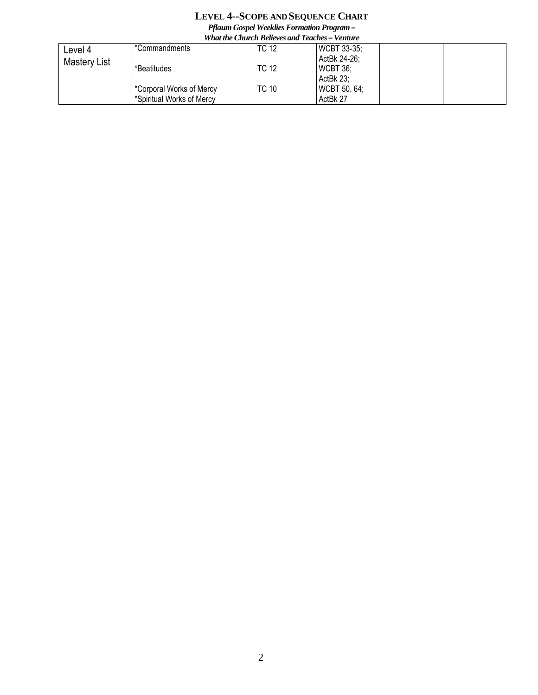## **LEVEL 4--SCOPE AND SEQUENCE CHART** *Pflaum Gospel Weeklies Formation Program –*

| <b>What the Church Believes and Teaches – Venture</b> |                           |              |                     |  |  |
|-------------------------------------------------------|---------------------------|--------------|---------------------|--|--|
| Level 4                                               | *Commandments             | <b>TC 12</b> | <b>WCBT 33-35:</b>  |  |  |
| <b>Mastery List</b>                                   |                           |              | ActBk 24-26;        |  |  |
|                                                       | *Beatitudes               | <b>TC 12</b> | $WCHT 36$ ;         |  |  |
|                                                       |                           |              | ActBk 23:           |  |  |
|                                                       | *Corporal Works of Mercy  | <b>TC 10</b> | <b>WCBT 50, 64;</b> |  |  |
|                                                       | *Spiritual Works of Mercy |              | ActBk 27            |  |  |